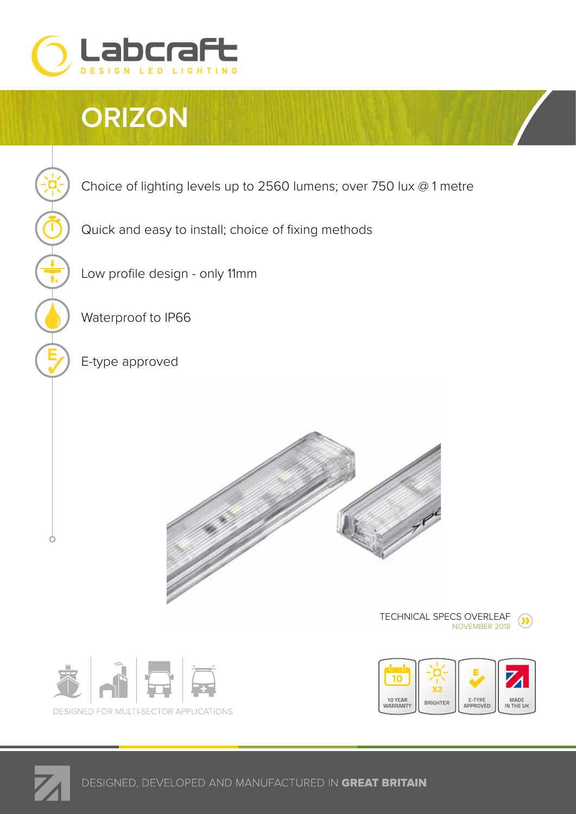

## **ORIZON**



Quick and easy to install; choice of fixing methods

Low profile design - only 11mm

Waterproof to IP66

E-type approved







 $\circ$ 

TECHNICAL SPECS OVERLEAF





10 to 32v

**ं**  $\overline{\mathbf{r}}$  $\overline{\phantom{a}}$ 

J

 $\overline{t}$ 

DESIGNED, DEVELOPED AND MANUFACTURED IN GREAT BRITAIN